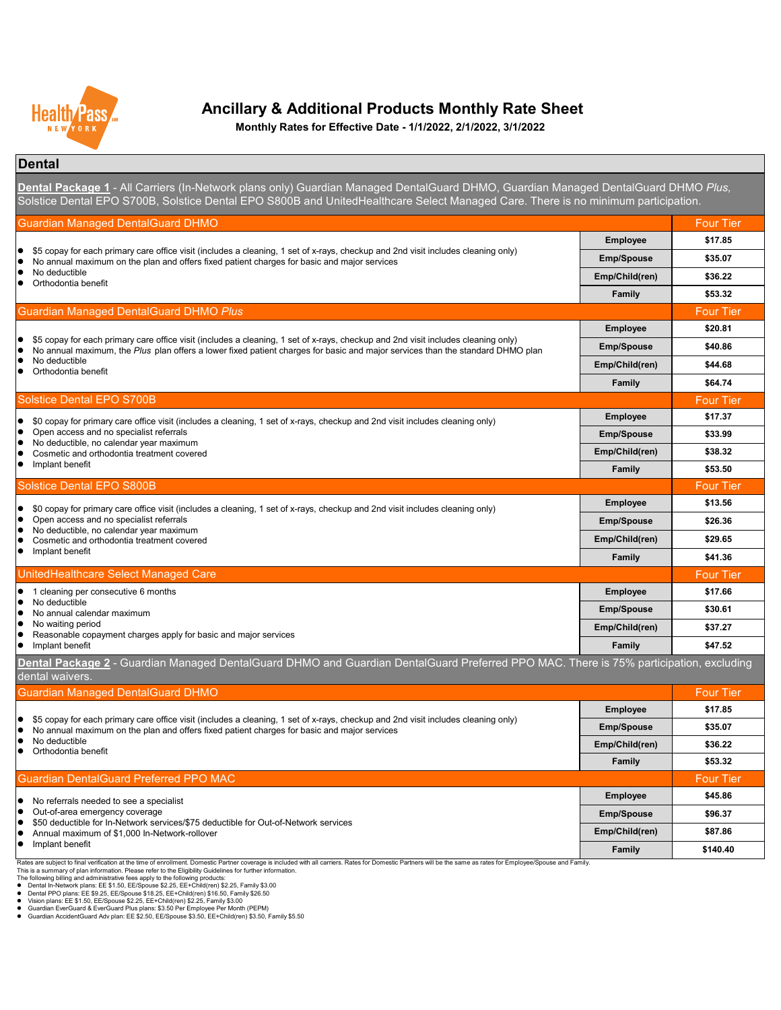#### **Dental**

| \$0 copay for primary care office visit (includes a cleaning, 1 set of x-rays, checkup and 2nd visit includes cleaning only)                                                                                                     | <b>Employee</b>   | \$17.37          |
|----------------------------------------------------------------------------------------------------------------------------------------------------------------------------------------------------------------------------------|-------------------|------------------|
| Open access and no specialist referrals                                                                                                                                                                                          | <b>Emp/Spouse</b> | \$33.99          |
| No deductible, no calendar year maximum<br>Cosmetic and orthodontia treatment covered                                                                                                                                            | Emp/Child(ren)    | \$38.32          |
| Implant benefit                                                                                                                                                                                                                  | <b>Family</b>     | \$53.50          |
| <b>Solstice Dental EPO S800B</b>                                                                                                                                                                                                 |                   | <b>Four Tier</b> |
| \$0 copay for primary care office visit (includes a cleaning, 1 set of x-rays, checkup and 2nd visit includes cleaning only)                                                                                                     | <b>Employee</b>   | \$13.56          |
| Open access and no specialist referrals                                                                                                                                                                                          | <b>Emp/Spouse</b> | \$26.36          |
| No deductible, no calendar year maximum<br>Cosmetic and orthodontia treatment covered                                                                                                                                            | Emp/Child(ren)    | \$29.65          |
| Implant benefit                                                                                                                                                                                                                  | <b>Family</b>     | \$41.36          |
| UnitedHealthcare Select Managed Care                                                                                                                                                                                             |                   | <b>Four Tier</b> |
| cleaning per consecutive 6 months                                                                                                                                                                                                | <b>Employee</b>   | \$17.66          |
| No deductible<br>No annual calendar maximum                                                                                                                                                                                      | <b>Emp/Spouse</b> | \$30.61          |
| No waiting period                                                                                                                                                                                                                | Emp/Child(ren)    | \$37.27          |
| Reasonable copayment charges apply for basic and major services<br>Implant benefit                                                                                                                                               | <b>Family</b>     | \$47.52          |
| Dental Package 2 - Guardian Managed DentalGuard DHMO and Guardian DentalGuard Preferred PPO MAC. There is 75% participation, excluding<br>dental waivers.                                                                        |                   |                  |
| <b>Guardian Managed DentalGuard DHMO</b>                                                                                                                                                                                         |                   | <b>Four Tier</b> |
|                                                                                                                                                                                                                                  | <b>Employee</b>   | \$17.85          |
| \$5 copay for each primary care office visit (includes a cleaning, 1 set of x-rays, checkup and 2nd visit includes cleaning only)<br>No annual maximum on the plan and offers fixed patient charges for basic and major services | <b>Emp/Spouse</b> | \$35.07          |
| No deductible<br>Orthodontia benefit                                                                                                                                                                                             | Emp/Child(ren)    | \$36.22          |
|                                                                                                                                                                                                                                  | <b>Family</b>     | \$53.32          |
| <b>Guardian DentalGuard Preferred PPO MAC</b>                                                                                                                                                                                    |                   | <b>Four Tier</b> |
| $\bullet$ No referrele needed to see a specialist                                                                                                                                                                                | <b>Employee</b>   | \$45.86          |

| <b>Emp/Spouse</b> | \$96.37  |
|-------------------|----------|
| Emp/Child(ren)    | \$87.86  |
| <b>Family</b>     | \$140.40 |

Rates are subject to final verification at the time of enrollment. Domestic Partner coverage is included with all carriers. Rates for Domestic Partners will be the same as rates for Employee/Spouse and Family.



# **Ancillary & Additional Products Monthly Rate Sheet**

- The following billing and administrative fees apply to the following products:
- Dental In-Network plans: EE \$1.50, EE/Spouse \$2.25, EE+Child(ren) \$2.25, Family \$3.00
- Dental PPO plans: EE \$9.25, EE/Spouse \$18.25, EE+Child(ren) \$16.50, Family \$26.50
- Vision plans: EE \$1.50, EE/Spouse \$2.25, EE+Child(ren) \$2.25, Family \$3.00
- Guardian EverGuard & EverGuard Plus plans: \$3.50 Per Employee Per Month (PEPM)
- Guardian AccidentGuard Adv plan: EE \$2.50, EE/Spouse \$3.50, EE+Child(ren) \$3.50, Family \$5.50

**Dental Package 1** - All Carriers (In-Network plans only) Guardian Managed DentalGuard DHMO, Guardian Managed DentalGuard DHMO *Plus,*  Solstice Dental EPO S700B, Solstice Dental EPO S800B and UnitedHealthcare Select Managed Care. There is no minimum participation.

- No referrals needed to see a specialist
- Out-of-area emergency coverage
- $\bullet$  \$50 deductible for In-Network services/\$75 deductible for Out-of-Network services
- Annual maximum of \$1,000 In-Network-rollover
- $\bullet$  Implant benefit

**Monthly Rates for Effective Date - 1/1/2022, 2/1/2022, 3/1/2022**

This is a summary of plan information. Please refer to the Eligibility Guidelines for further information.

| <b>Guardian Managed DentalGuard DHMO</b>                                                                                                                                                                                                                                                                      |                   | <b>Four Tier</b> |
|---------------------------------------------------------------------------------------------------------------------------------------------------------------------------------------------------------------------------------------------------------------------------------------------------------------|-------------------|------------------|
| • \$5 copay for each primary care office visit (includes a cleaning, 1 set of x-rays, checkup and 2nd visit includes cleaning only)<br>No annual maximum on the plan and offers fixed patient charges for basic and major services                                                                            | <b>Employee</b>   | \$17.85          |
|                                                                                                                                                                                                                                                                                                               | <b>Emp/Spouse</b> | \$35.07          |
| • No deductible<br>Orthodontia benefit                                                                                                                                                                                                                                                                        | Emp/Child(ren)    | \$36.22          |
|                                                                                                                                                                                                                                                                                                               | <b>Family</b>     | \$53.32          |
| <b>Guardian Managed DentalGuard DHMO Plus</b>                                                                                                                                                                                                                                                                 |                   | <b>Four Tier</b> |
| • \$5 copay for each primary care office visit (includes a cleaning, 1 set of x-rays, checkup and 2nd visit includes cleaning only)<br>No annual maximum, the Plus plan offers a lower fixed patient charges for basic and major services than the standard DHMO plan<br>No deductible<br>Orthodontia benefit | <b>Employee</b>   | \$20.81          |
|                                                                                                                                                                                                                                                                                                               | <b>Emp/Spouse</b> | \$40.86          |
|                                                                                                                                                                                                                                                                                                               | Emp/Child(ren)    | \$44.68          |
|                                                                                                                                                                                                                                                                                                               | <b>Family</b>     | \$64.74          |
| Solstice Dental EPO S700B                                                                                                                                                                                                                                                                                     |                   | <b>Four Tier</b> |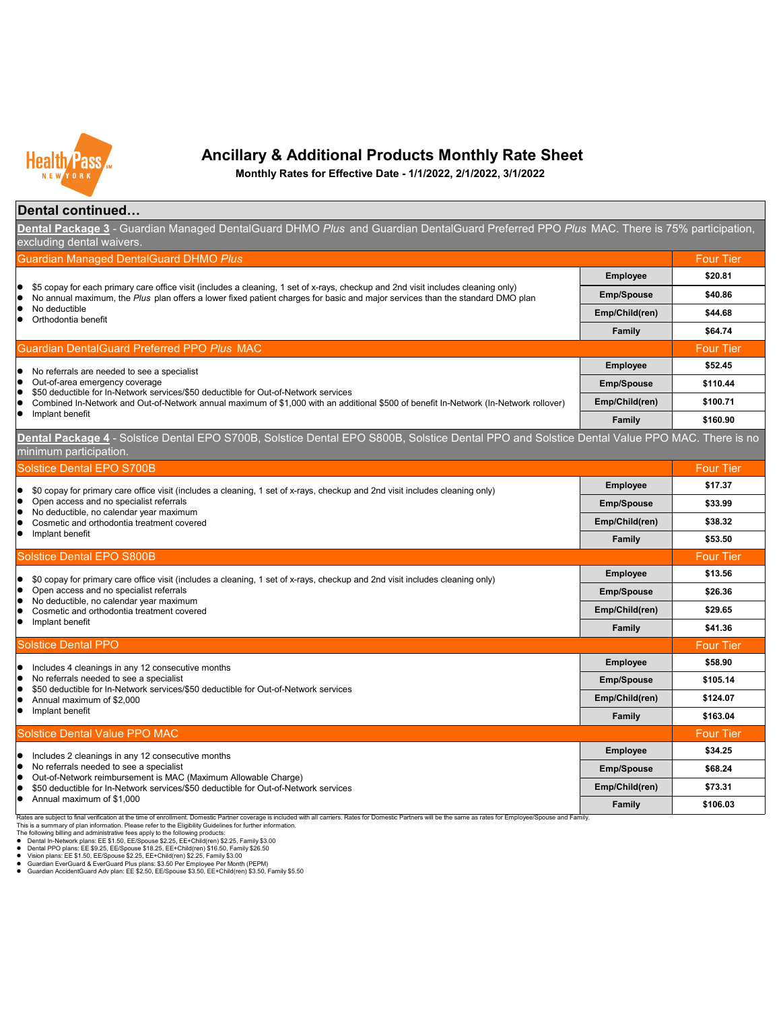#### **Dental continued…**

Rates are subject to final verification at the time of enrollment. Domestic Partner coverage is included with all carriers. Rates for Domestic Partners will be the same as rates for Employee/Spouse and Family. This is a summary of plan information. Please refer to the Eligibility Guidelines for further information.

- The following billing and administrative fees apply to the following products:
- Dental In-Network plans: EE \$1.50, EE/Spouse \$2.25, EE+Child(ren) \$2.25, Family \$3.00
- Dental PPO plans: EE \$9.25, EE/Spouse \$18.25, EE+Child(ren) \$16.50, Family \$26.50
- Vision plans: EE \$1.50, EE/Spouse \$2.25, EE+Child(ren) \$2.25, Family \$3.00
- Guardian EverGuard & EverGuard Plus plans: \$3.50 Per Employee Per Month (PEPM)
- Guardian AccidentGuard Adv plan: EE \$2.50, EE/Spouse \$3.50, EE+Child(ren) \$3.50, Family \$5.50

**Family \$106.03**

| <b>Guardian Managed DentalGuard DHMO Plus</b>                                                                                                                                                                                                                                             |                   | <b>Four Tier</b> |
|-------------------------------------------------------------------------------------------------------------------------------------------------------------------------------------------------------------------------------------------------------------------------------------------|-------------------|------------------|
| $\bullet$ \$5 copay for each primary care office visit (includes a cleaning, 1 set of x-rays, checkup and 2nd visit includes cleaning only)<br>No annual maximum, the Plus plan offers a lower fixed patient charges for basic and major services than the standard DMO plan<br>$\bullet$ | <b>Employee</b>   | \$20.81          |
|                                                                                                                                                                                                                                                                                           | <b>Emp/Spouse</b> | \$40.86          |
| No deductible<br>Orthodontia benefit                                                                                                                                                                                                                                                      | Emp/Child(ren)    | \$44.68          |
|                                                                                                                                                                                                                                                                                           | <b>Family</b>     | \$64.74          |
| <b>Guardian DentalGuard Preferred PPO Plus MAC</b>                                                                                                                                                                                                                                        |                   | <b>Four Tier</b> |
| No referrals are needed to see a specialist<br>$\bullet$                                                                                                                                                                                                                                  | <b>Employee</b>   | \$52.45          |
| Out-of-area emergency coverage                                                                                                                                                                                                                                                            | <b>Emp/Spouse</b> | \$110.44         |
| $\bullet$ \$50 deductible for In-Network services/\$50 deductible for Out-of-Network services<br>Combined In-Network and Out-of-Network annual maximum of \$1,000 with an additional \$500 of benefit In-Network (In-Network rollover)<br>$\bullet$                                       | Emp/Child(ren)    | \$100.71         |
| Implant benefit                                                                                                                                                                                                                                                                           | <b>Family</b>     | \$160.90         |
| Dental Package 4 - Solstice Dental EPO S700B, Solstice Dental EPO S800B, Solstice Dental PPO and Solstice Dental Value PPO MAC. There is no                                                                                                                                               |                   |                  |
| minimum participation.                                                                                                                                                                                                                                                                    |                   |                  |
| <b>Solstice Dental EPO S700B</b>                                                                                                                                                                                                                                                          |                   | <b>Four Tier</b> |
| \$0 copay for primary care office visit (includes a cleaning, 1 set of x-rays, checkup and 2nd visit includes cleaning only)<br>$\bullet$                                                                                                                                                 | <b>Employee</b>   | \$17.37          |
| Open access and no specialist referrals<br>$\bullet$<br>$\bullet$ No deductible, no calendar year maximum                                                                                                                                                                                 | <b>Emp/Spouse</b> | \$33.99          |
| Cosmetic and orthodontia treatment covered                                                                                                                                                                                                                                                | Emp/Child(ren)    | \$38.32          |
| Implant benefit<br>$\bullet$                                                                                                                                                                                                                                                              | Family            | \$53.50          |
| <b>Solstice Dental EPO S800B</b>                                                                                                                                                                                                                                                          |                   | <b>Four Tier</b> |
| \$0 copay for primary care office visit (includes a cleaning, 1 set of x-rays, checkup and 2nd visit includes cleaning only)<br>$\bullet$                                                                                                                                                 | <b>Employee</b>   | \$13.56          |
| Open access and no specialist referrals<br>$\bullet$<br>$\bullet$ No deductible, no calendar year maximum                                                                                                                                                                                 | <b>Emp/Spouse</b> | \$26.36          |
| Cosmetic and orthodontia treatment covered                                                                                                                                                                                                                                                | Emp/Child(ren)    | \$29.65          |
| Implant benefit<br>$\bullet$                                                                                                                                                                                                                                                              | Family            | \$41.36          |
| <b>Solstice Dental PPO</b>                                                                                                                                                                                                                                                                |                   | <b>Four Tier</b> |
| Includes 4 cleanings in any 12 consecutive months<br>$\bullet$                                                                                                                                                                                                                            | <b>Employee</b>   | \$58.90          |
| No referrals needed to see a specialist<br>$\bullet$<br>\$50 deductible for In-Network services/\$50 deductible for Out-of-Network services                                                                                                                                               | <b>Emp/Spouse</b> | \$105.14         |
| $\bullet$<br>Annual maximum of \$2,000                                                                                                                                                                                                                                                    | Emp/Child(ren)    | \$124.07         |
| Implant benefit<br>$\bullet$                                                                                                                                                                                                                                                              | <b>Family</b>     | \$163.04         |
| <b>Solstice Dental Value PPO MAC</b>                                                                                                                                                                                                                                                      |                   | <b>Four Tier</b> |
| Includes 2 cleanings in any 12 consecutive months                                                                                                                                                                                                                                         | <b>Employee</b>   | \$34.25          |
| No referrals needed to see a specialist                                                                                                                                                                                                                                                   | <b>Emp/Spouse</b> | \$68.24          |
| Out-of-Network reimbursement is MAC (Maximum Allowable Charge)<br>\$50 deductible for In-Network services/\$50 deductible for Out-of-Network services<br>$\bullet$                                                                                                                        | Emp/Child(ren)    | \$73.31          |
| Annual maximum of \$1,000                                                                                                                                                                                                                                                                 | <b>Comily</b>     | $C$ 106 02       |



# **Ancillary & Additional Products Monthly Rate Sheet**

**Monthly Rates for Effective Date - 1/1/2022, 2/1/2022, 3/1/2022**

**Dental Package 3** - Guardian Managed DentalGuard DHMO *Plus* and Guardian DentalGuard Preferred PPO *Plus* MAC. There is 75% participation, excluding dental waivers.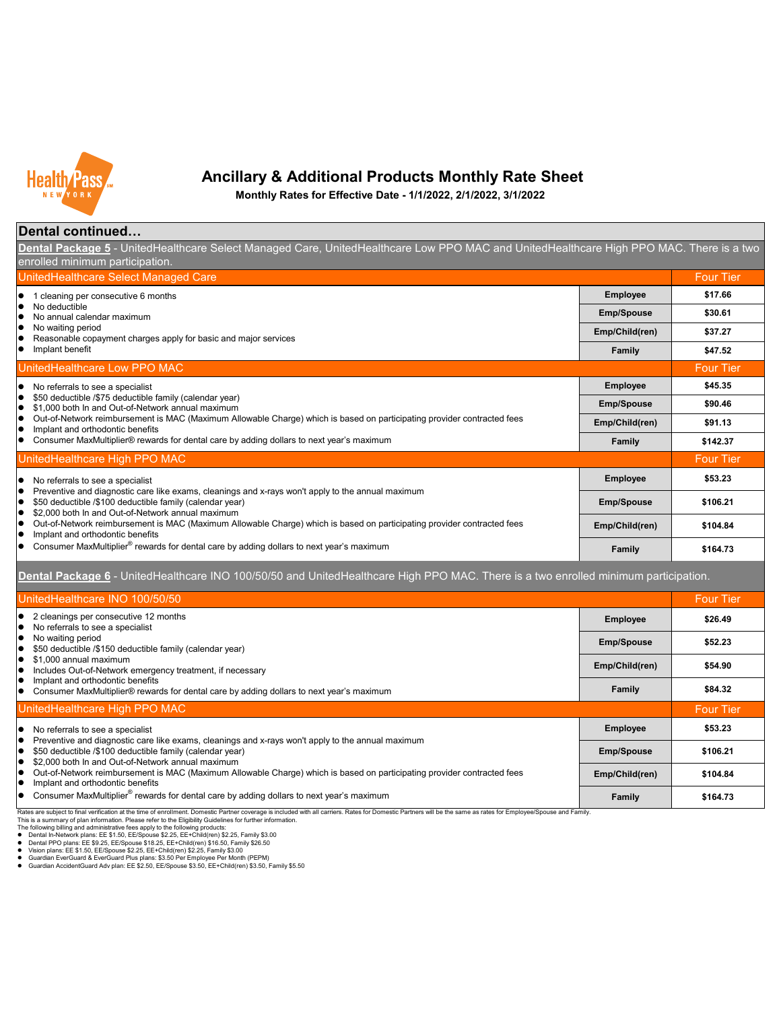#### **Dental continued…**

Dental Package 5 - UnitedHealthcare Select Managed Care, UnitedHealthcare Low PPO MAC and UnitedHealthcare High PPO MAC. There is a two enrolled minimum participation.

- The following billing and administrative fees apply to the following products:
- Dental In-Network plans: EE \$1.50, EE/Spouse \$2.25, EE+Child(ren) \$2.25, Family \$3.00
- Dental PPO plans: EE \$9.25, EE/Spouse \$18.25, EE+Child(ren) \$16.50, Family \$26.50
- Vision plans: EE \$1.50, EE/Spouse \$2.25, EE+Child(ren) \$2.25, Family \$3.00
- Guardian EverGuard & EverGuard Plus plans: \$3.50 Per Employee Per Month (PEPM)
- Guardian AccidentGuard Adv plan: EE \$2.50, EE/Spouse \$3.50, EE+Child(ren) \$3.50, Family \$5.50

| UnitedHealthcare Select Managed Care                                                                                                                                                                             |                   | <b>Four Tier</b> |
|------------------------------------------------------------------------------------------------------------------------------------------------------------------------------------------------------------------|-------------------|------------------|
| cleaning per consecutive 6 months                                                                                                                                                                                | <b>Employee</b>   | \$17.66          |
| No deductible<br>No annual calendar maximum                                                                                                                                                                      | <b>Emp/Spouse</b> | \$30.61          |
| No waiting period<br>Reasonable copayment charges apply for basic and major services                                                                                                                             | Emp/Child(ren)    | \$37.27          |
| Implant benefit                                                                                                                                                                                                  | <b>Family</b>     | \$47.52          |
| UnitedHealthcare Low PPO MAC                                                                                                                                                                                     |                   | <b>Four Tier</b> |
| No referrals to see a specialist                                                                                                                                                                                 | <b>Employee</b>   | \$45.35          |
| \$50 deductible /\$75 deductible family (calendar year)<br>\$1,000 both In and Out-of-Network annual maximum                                                                                                     | <b>Emp/Spouse</b> | \$90.46          |
| Out-of-Network reimbursement is MAC (Maximum Allowable Charge) which is based on participating provider contracted fees<br>Implant and orthodontic benefits                                                      | Emp/Child(ren)    | \$91.13          |
| Consumer MaxMultiplier® rewards for dental care by adding dollars to next year's maximum                                                                                                                         | <b>Family</b>     | \$142.37         |
| UnitedHealthcare High PPO MAC                                                                                                                                                                                    |                   | <b>Four Tier</b> |
| No referrals to see a specialist                                                                                                                                                                                 | <b>Employee</b>   | \$53.23          |
| Preventive and diagnostic care like exams, cleanings and x-rays won't apply to the annual maximum<br>\$50 deductible /\$100 deductible family (calendar year)                                                    | <b>Emp/Spouse</b> | \$106.21         |
| \$2,000 both In and Out-of-Network annual maximum<br>Out-of-Network reimbursement is MAC (Maximum Allowable Charge) which is based on participating provider contracted fees<br>Implant and orthodontic benefits | Emp/Child(ren)    | \$104.84         |
| Consumer MaxMultiplier <sup>®</sup> rewards for dental care by adding dollars to next year's maximum                                                                                                             | <b>Family</b>     | \$164.73         |

This is a summary of plan information. Please refer to the Eligibility Guidelines for further information.

| UnitedHealthcare INO 100/50/50                                                                                                                                                                                   |                   | <b>Four Tier</b> |
|------------------------------------------------------------------------------------------------------------------------------------------------------------------------------------------------------------------|-------------------|------------------|
| 2 cleanings per consecutive 12 months<br>No referrals to see a specialist                                                                                                                                        | <b>Employee</b>   | \$26.49          |
| No waiting period<br>\$50 deductible /\$150 deductible family (calendar year)                                                                                                                                    | <b>Emp/Spouse</b> | \$52.23          |
| \$1,000 annual maximum<br>Includes Out-of-Network emergency treatment, if necessary                                                                                                                              | Emp/Child(ren)    | \$54.90          |
| Implant and orthodontic benefits<br>Consumer MaxMultiplier® rewards for dental care by adding dollars to next year's maximum                                                                                     | <b>Family</b>     | \$84.32          |
| UnitedHealthcare High PPO MAC                                                                                                                                                                                    |                   | <b>Four Tier</b> |
| No referrals to see a specialist                                                                                                                                                                                 | <b>Employee</b>   | \$53.23          |
| Preventive and diagnostic care like exams, cleanings and x-rays won't apply to the annual maximum<br>\$50 deductible /\$100 deductible family (calendar year)                                                    | <b>Emp/Spouse</b> | \$106.21         |
| \$2,000 both In and Out-of-Network annual maximum<br>Out-of-Network reimbursement is MAC (Maximum Allowable Charge) which is based on participating provider contracted fees<br>Implant and orthodontic benefits | Emp/Child(ren)    | \$104.84         |
| Consumer MaxMultiplier <sup>®</sup> rewards for dental care by adding dollars to next year's maximum                                                                                                             | <b>Family</b>     | \$164.73         |

Rates are subject to final verification at the time of enrollment. Domestic Partner coverage is included with all carriers. Rates for Domestic Partners will be the same as rates for Employee/Spouse and Family.



# **Ancillary & Additional Products Monthly Rate Sheet**

**Monthly Rates for Effective Date - 1/1/2022, 2/1/2022, 3/1/2022**

**Dental Package 6** - UnitedHealthcare INO 100/50/50 and UnitedHealthcare High PPO MAC. There is a two enrolled minimum participation.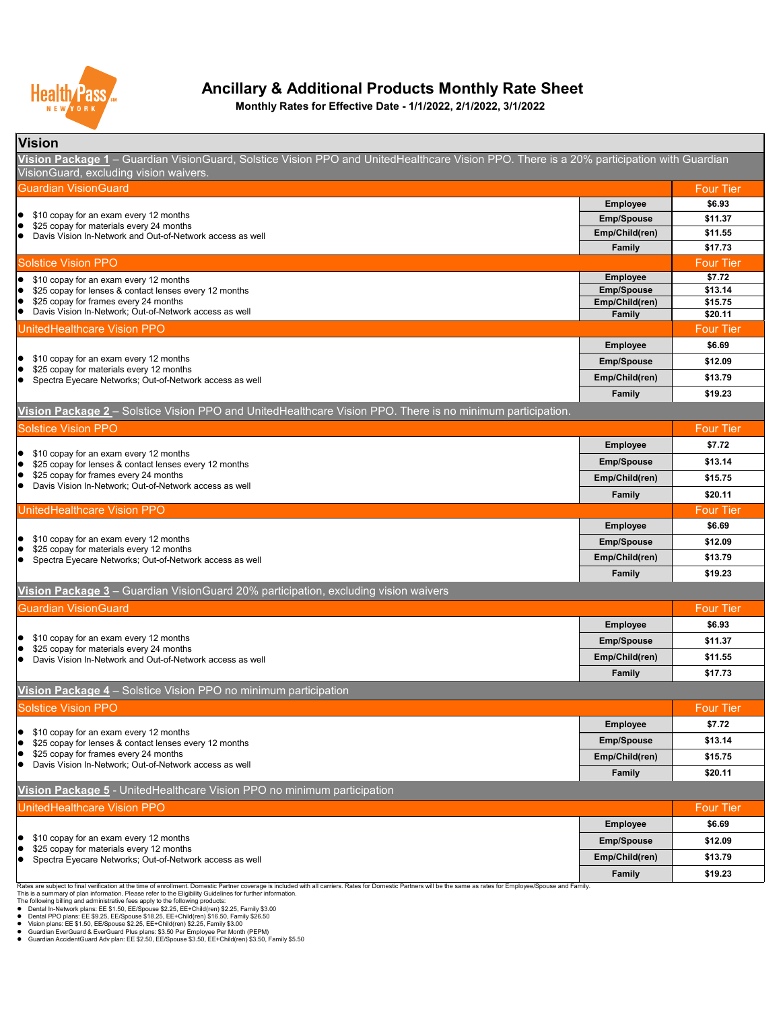#### **Vision**

| Guardian VisionGuard                                                                                                                                       |                   | <b>Four Tier</b> |
|------------------------------------------------------------------------------------------------------------------------------------------------------------|-------------------|------------------|
|                                                                                                                                                            | <b>Employee</b>   | \$6.93           |
| \$10 copay for an exam every 12 months<br>  ●<br>\$25 copay for materials every 24 months                                                                  | <b>Emp/Spouse</b> | \$11.37          |
| ●<br>Davis Vision In-Network and Out-of-Network access as well<br>I O                                                                                      | Emp/Child(ren)    | \$11.55          |
|                                                                                                                                                            | Family            | \$17.73          |
| <b>Solstice Vision PPO</b>                                                                                                                                 |                   | <b>Four Tier</b> |
| \$10 copay for an exam every 12 months<br>$\bullet$                                                                                                        | <b>Employee</b>   | \$7.72           |
| \$25 copay for lenses & contact lenses every 12 months<br>  ●                                                                                              | <b>Emp/Spouse</b> | \$13.14          |
| \$25 copay for frames every 24 months<br>$\bullet$<br>Davis Vision In-Network; Out-of-Network access as well<br>  ●                                        | Emp/Child(ren)    | \$15.75          |
|                                                                                                                                                            | Family            | \$20.11          |
| UnitedHealthcare Vision PPO                                                                                                                                |                   | <b>Four Tier</b> |
|                                                                                                                                                            | <b>Employee</b>   | \$6.69           |
| \$10 copay for an exam every 12 months<br>\$25 copay for materials every 12 months<br>$\bullet$<br>Spectra Eyecare Networks; Out-of-Network access as well | <b>Emp/Spouse</b> | \$12.09          |
|                                                                                                                                                            | Emp/Child(ren)    | \$13.79          |
|                                                                                                                                                            | <b>Family</b>     | \$19.23          |

**Vision Package 1** – Guardian VisionGuard, Solstice Vision PPO and UnitedHealthcare Vision PPO. There is a 20% participation with Guardian VisionGuard, excluding vision waivers.

| <b>Solstice Vision PPO</b>                                                                                                                                                |                   | <b>Four Tier</b> |
|---------------------------------------------------------------------------------------------------------------------------------------------------------------------------|-------------------|------------------|
|                                                                                                                                                                           | <b>Employee</b>   | \$7.72           |
| \$10 copay for an exam every 12 months<br>\$25 copay for lenses & contact lenses every 12 months                                                                          | <b>Emp/Spouse</b> | \$13.14          |
| \$25 copay for frames every 24 months                                                                                                                                     | Emp/Child(ren)    | \$15.75          |
| Davis Vision In-Network; Out-of-Network access as well                                                                                                                    | <b>Family</b>     | \$20.11          |
| UnitedHealthcare Vision PPO                                                                                                                                               |                   | <b>Four Tier</b> |
|                                                                                                                                                                           | <b>Employee</b>   | \$6.69           |
| \$10 copay for an exam every 12 months<br>$\bullet$                                                                                                                       | <b>Emp/Spouse</b> | \$12.09          |
| \$25 copay for materials every 12 months<br>Spectra Eyecare Networks; Out-of-Network access as well                                                                       | Emp/Child(ren)    | \$13.79          |
|                                                                                                                                                                           | <b>Family</b>     | \$19.23          |
| Vision Package 3 - Guardian VisionGuard 20% participation, excluding vision waivers                                                                                       |                   |                  |
| <b>Guardian VisionGuard</b>                                                                                                                                               |                   | <b>Four Tier</b> |
|                                                                                                                                                                           | <b>Employee</b>   | \$6.93           |
| \$10 copay for an exam every 12 months<br>$\bullet$<br>\$25 copay for materials every 24 months<br>$\bullet$<br>Davis Vision In-Network and Out-of-Network access as well | <b>Emp/Spouse</b> | \$11.37          |
|                                                                                                                                                                           | Emp/Child(ren)    | \$11.55          |
|                                                                                                                                                                           | <b>Family</b>     | \$17.73          |
| Vision Package 4 – Solstice Vision PPO no minimum participation                                                                                                           |                   |                  |
| <b>Solstice Vision PPO</b>                                                                                                                                                |                   | <b>Four Tier</b> |
|                                                                                                                                                                           | <b>Employee</b>   | \$7.72           |
| \$10 copay for an exam every 12 months<br>\$25 copay for lenses & contact lenses every 12 months                                                                          | <b>Emp/Spouse</b> | \$13.14          |
| \$25 copay for frames every 24 months                                                                                                                                     | Emp/Child(ren)    | \$15.75          |
| Davis Vision In-Network; Out-of-Network access as well                                                                                                                    | <b>Family</b>     | \$20.11          |

| <b>UnitedHealthcare Vision PPO</b>                                                                                         |                   | <b>Four Tier</b> |
|----------------------------------------------------------------------------------------------------------------------------|-------------------|------------------|
|                                                                                                                            | <b>Employee</b>   | \$6.69           |
| $\bullet$ \$10 copay for an exam every 12 months                                                                           | <b>Emp/Spouse</b> | \$12.09          |
| $\bullet$ \$25 copay for materials every 12 months<br>Spectra Eyecare Networks; Out-of-Network access as well<br>$\bullet$ | Emp/Child(ren)    | \$13.79          |
|                                                                                                                            | <b>Family</b>     | \$19.23          |

Rates are subject to final verification at the time of enrollment. Domestic Partner coverage is included with all carriers. Rates for Domestic Partners will be the same as rates for Employee/Spouse and Family.

This is a summary of plan information. Please refer to the Eligibility Guidelines for further information.

The following billing and administrative fees apply to the following products:

- Dental In-Network plans: EE \$1.50, EE/Spouse \$2.25, EE+Child(ren) \$2.25, Family \$3.00
- Dental PPO plans: EE \$9.25, EE/Spouse \$18.25, EE+Child(ren) \$16.50, Family \$26.50
- Vision plans: EE \$1.50, EE/Spouse \$2.25, EE+Child(ren) \$2.25, Family \$3.00
- Guardian EverGuard & EverGuard Plus plans: \$3.50 Per Employee Per Month (PEPM)

● Guardian AccidentGuard Adv plan: EE \$2.50, EE/Spouse \$3.50, EE+Child(ren) \$3.50, Family \$5.50



# **Ancillary & Additional Products Monthly Rate Sheet**

#### **Vision Package 5** - UnitedHealthcare Vision PPO no minimum participation

**Vision Package 2** – Solstice Vision PPO and UnitedHealthcare Vision PPO. There is no minimum participation.

**Monthly Rates for Effective Date - 1/1/2022, 2/1/2022, 3/1/2022**